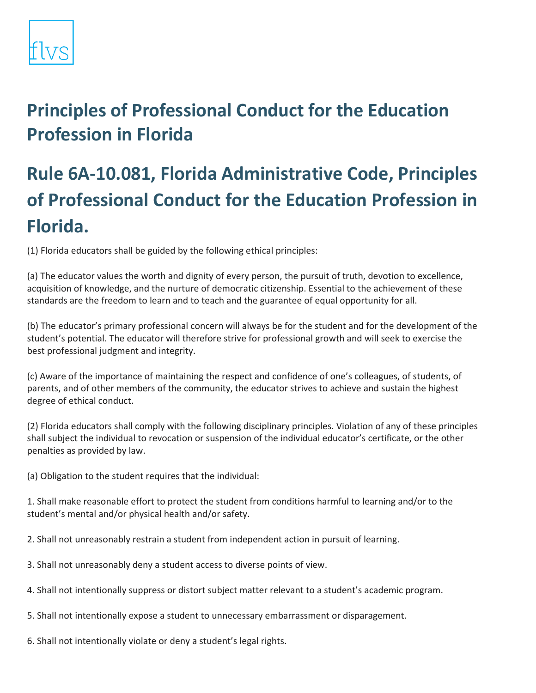## **Principles of Professional Conduct for the Education Profession in Florida**

## **Rule 6A-10.081, Florida Administrative Code, Principles of Professional Conduct for the Education Profession in Florida.**

(1) Florida educators shall be guided by the following ethical principles:

(a) The educator values the worth and dignity of every person, the pursuit of truth, devotion to excellence, acquisition of knowledge, and the nurture of democratic citizenship. Essential to the achievement of these standards are the freedom to learn and to teach and the guarantee of equal opportunity for all.

(b) The educator's primary professional concern will always be for the student and for the development of the student's potential. The educator will therefore strive for professional growth and will seek to exercise the best professional judgment and integrity.

(c) Aware of the importance of maintaining the respect and confidence of one's colleagues, of students, of parents, and of other members of the community, the educator strives to achieve and sustain the highest degree of ethical conduct.

(2) Florida educators shall comply with the following disciplinary principles. Violation of any of these principles shall subject the individual to revocation or suspension of the individual educator's certificate, or the other penalties as provided by law.

(a) Obligation to the student requires that the individual:

1. Shall make reasonable effort to protect the student from conditions harmful to learning and/or to the student's mental and/or physical health and/or safety.

- 2. Shall not unreasonably restrain a student from independent action in pursuit of learning.
- 3. Shall not unreasonably deny a student access to diverse points of view.
- 4. Shall not intentionally suppress or distort subject matter relevant to a student's academic program.
- 5. Shall not intentionally expose a student to unnecessary embarrassment or disparagement.
- 6. Shall not intentionally violate or deny a student's legal rights.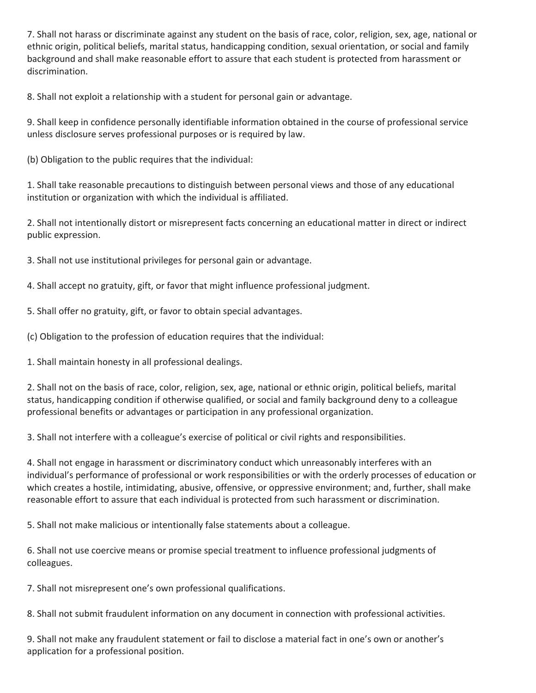7. Shall not harass or discriminate against any student on the basis of race, color, religion, sex, age, national or ethnic origin, political beliefs, marital status, handicapping condition, sexual orientation, or social and family background and shall make reasonable effort to assure that each student is protected from harassment or discrimination.

8. Shall not exploit a relationship with a student for personal gain or advantage.

9. Shall keep in confidence personally identifiable information obtained in the course of professional service unless disclosure serves professional purposes or is required by law.

(b) Obligation to the public requires that the individual:

1. Shall take reasonable precautions to distinguish between personal views and those of any educational institution or organization with which the individual is affiliated.

2. Shall not intentionally distort or misrepresent facts concerning an educational matter in direct or indirect public expression.

3. Shall not use institutional privileges for personal gain or advantage.

4. Shall accept no gratuity, gift, or favor that might influence professional judgment.

5. Shall offer no gratuity, gift, or favor to obtain special advantages.

(c) Obligation to the profession of education requires that the individual:

1. Shall maintain honesty in all professional dealings.

2. Shall not on the basis of race, color, religion, sex, age, national or ethnic origin, political beliefs, marital status, handicapping condition if otherwise qualified, or social and family background deny to a colleague professional benefits or advantages or participation in any professional organization.

3. Shall not interfere with a colleague's exercise of political or civil rights and responsibilities.

4. Shall not engage in harassment or discriminatory conduct which unreasonably interferes with an individual's performance of professional or work responsibilities or with the orderly processes of education or which creates a hostile, intimidating, abusive, offensive, or oppressive environment; and, further, shall make reasonable effort to assure that each individual is protected from such harassment or discrimination.

5. Shall not make malicious or intentionally false statements about a colleague.

6. Shall not use coercive means or promise special treatment to influence professional judgments of colleagues.

7. Shall not misrepresent one's own professional qualifications.

8. Shall not submit fraudulent information on any document in connection with professional activities.

9. Shall not make any fraudulent statement or fail to disclose a material fact in one's own or another's application for a professional position.